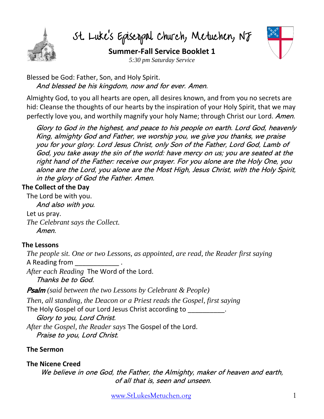

St. Luke's Episcopal Church, Metuchen, NJ

**Summer-Fall Service Booklet 1** *5:30 pm Saturday Service*



Blessed be God: Father, Son, and Holy Spirit. And blessed be his kingdom, now and for ever. Amen.

Almighty God, to you all hearts are open, all desires known, and from you no secrets are hid: Cleanse the thoughts of our hearts by the inspiration of your Holy Spirit, that we may perfectly love you, and worthily magnify your holy Name; through Christ our Lord. Amen.

Glory to God in the highest, and peace to his people on earth. Lord God, heavenly King, almighty God and Father, we worship you, we give you thanks, we praise you for your glory. Lord Jesus Christ, only Son of the Father, Lord God, Lamb of God, you take away the sin of the world: have mercy on us; you are seated at the right hand of the Father: receive our prayer. For you alone are the Holy One, you alone are the Lord, you alone are the Most High, Jesus Christ, with the Holy Spirit, in the glory of God the Father. Amen.

### **The Collect of the Day**

The Lord be with you. And also with you. Let us pray. *The Celebrant says the Collect.* Amen.

#### **The Lessons**

*The people sit. One or two Lessons, as appointed, are read, the Reader first saying* A Reading from

*After each Reading* The Word of the Lord. Thanks be to God.

Psalm *(said between the two Lessons by Celebrant & People)*

*Then, all standing, the Deacon or a Priest reads the Gospel, first saying*

The Holy Gospel of our Lord Jesus Christ according to

Glory to you, Lord Christ.

*After the Gospel, the Reader says* The Gospel of the Lord. Praise to you, Lord Christ.

### **The Sermon**

### **The Nicene Creed**

We believe in one God, the Father, the Almighty, maker of heaven and earth, of all that is, seen and unseen.

[www.StLukesMetuchen.org](http://www.stlukesmetuchen.org/) 1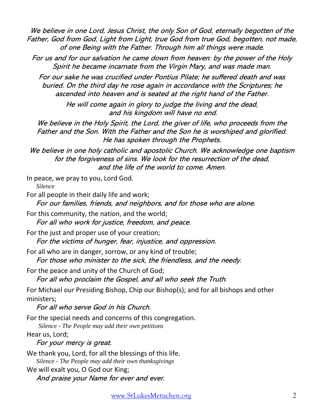We believe in one Lord, Jesus Christ, the only Son of God, eternally begotten of the Father, God from God, Light from Light, true God from true God, begotten, not made, of one Being with the Father. Through him all things were made.

For us and for our salvation he came down from heaven: by the power of the Holy Spirit he became incarnate from the Virgin Mary, and was made man.

For our sake he was crucified under Pontius Pilate; he suffered death and was buried. On the third day he rose again in accordance with the Scriptures; he ascended into heaven and is seated at the right hand of the Father.

> He will come again in glory to judge the living and the dead, and his kingdom will have no end.

We believe in the Holy Spirit, the Lord, the giver of life, who proceeds from the Father and the Son. With the Father and the Son he is worshiped and glorified. He has spoken through the Prophets.

We believe in one holy catholic and apostolic Church. We acknowledge one baptism for the forgiveness of sins. We look for the resurrection of the dead, and the life of the world to come. Amen.

In peace, we pray to you, Lord God.

*Silence*

For all people in their daily life and work;

For our families, friends, and neighbors, and for those who are alone.

For this community, the nation, and the world; For all who work for justice, freedom, and peace.

For the just and proper use of your creation; For the victims of hunger, fear, injustice, and oppression.

For all who are in danger, sorrow, or any kind of trouble; For those who minister to the sick, the friendless, and the needy.

For the peace and unity of the Church of God;

For all who proclaim the Gospel, and all who seek the Truth.

For Michael our Presiding Bishop, Chip our Bishop(s); and for all bishops and other ministers;

For all who serve God in his Church.

For the special needs and concerns of this congregation.

*Silence - The People may add their own petitions*

Hear us, Lord;

For your mercy is great.

We thank you, Lord, for all the blessings of this life.

*Silence - The People may add their own thanksgivings*

We will exalt you, O God our King;

And praise your Name for ever and ever.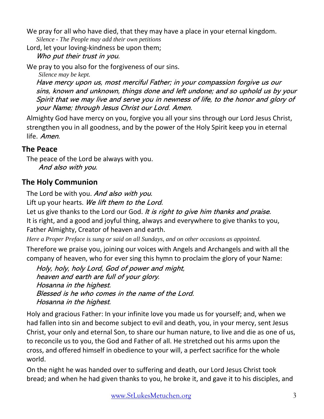We pray for all who have died, that they may have a place in your eternal kingdom. *Silence - The People may add their own petitions*

Lord, let your loving-kindness be upon them;

Who put their trust in you.

We pray to you also for the forgiveness of our sins.

*Silence may be kept.*

Have mercy upon us, most merciful Father; in your compassion forgive us our sins, known and unknown, things done and left undone; and so uphold us by your Spirit that we may live and serve you in newness of life, to the honor and glory of your Name; through Jesus Christ our Lord. Amen.

Almighty God have mercy on you, forgive you all your sins through our Lord Jesus Christ, strengthen you in all goodness, and by the power of the Holy Spirit keep you in eternal life. Amen.

## **The Peace**

The peace of the Lord be always with you. And also with you.

# **The Holy Communion**

The Lord be with you. And also with you.

Lift up your hearts. We lift them to the Lord.

Let us give thanks to the Lord our God. It is right to give him thanks and praise. It is right, and a good and joyful thing, always and everywhere to give thanks to you, Father Almighty, Creator of heaven and earth.

*Here a Proper Preface is sung or said on all Sundays, and on other occasions as appointed.*

Therefore we praise you, joining our voices with Angels and Archangels and with all the company of heaven, who for ever sing this hymn to proclaim the glory of your Name:

Holy, holy, holy Lord, God of power and might, heaven and earth are full of your glory. Hosanna in the highest. Blessed is he who comes in the name of the Lord. Hosanna in the highest.

Holy and gracious Father: In your infinite love you made us for yourself; and, when we had fallen into sin and become subject to evil and death, you, in your mercy, sent Jesus Christ, your only and eternal Son, to share our human nature, to live and die as one of us, to reconcile us to you, the God and Father of all. He stretched out his arms upon the cross, and offered himself in obedience to your will, a perfect sacrifice for the whole world.

On the night he was handed over to suffering and death, our Lord Jesus Christ took bread; and when he had given thanks to you, he broke it, and gave it to his disciples, and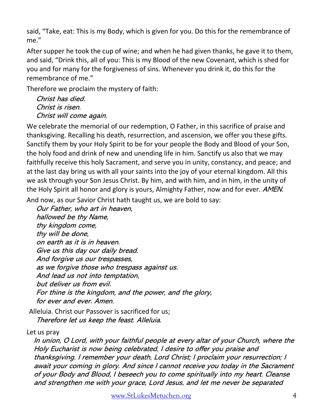said, "Take, eat: This is my Body, which is given for you. Do this for the remembrance of me."

After supper he took the cup of wine; and when he had given thanks, he gave it to them, and said, "Drink this, all of you: This is my Blood of the new Covenant, which is shed for you and for many for the forgiveness of sins. Whenever you drink it, do this for the remembrance of me."

Therefore we proclaim the mystery of faith:

Christ has died. Christ is risen. Christ will come again.

We celebrate the memorial of our redemption, O Father, in this sacrifice of praise and thanksgiving. Recalling his death, resurrection, and ascension, we offer you these gifts. Sanctify them by your Holy Spirit to be for your people the Body and Blood of your Son, the holy food and drink of new and unending life in him. Sanctify us also that we may faithfully receive this holy Sacrament, and serve you in unity, constancy, and peace; and at the last day bring us with all your saints into the joy of your eternal kingdom. All this we ask through your Son Jesus Christ. By him, and with him, and in him, in the unity of the Holy Spirit all honor and glory is yours, Almighty Father, now and for ever. *AMEN.* 

And now, as our Savior Christ hath taught us, we are bold to say:

Our Father, who art in heaven, hallowed be thy Name, thy kingdom come, thy will be done, on earth as it is in heaven. Give us this day our daily bread. And forgive us our trespasses, as we forgive those who trespass against us. And lead us not into temptation, but deliver us from evil. For thine is the kingdom, and the power, and the glory, for ever and ever. Amen.

Alleluia. Christ our Passover is sacrificed for us; Therefore let us keep the feast. Alleluia.

Let us pray

In union, O Lord, with your faithful people at every altar of your Church, where the Holy Eucharist is now being celebrated, I desire to offer you praise and thanksgiving. I remember your death, Lord Christ; I proclaim your resurrection; I await your coming in glory. And since I cannot receive you today in the Sacrament of your Body and Blood, I beseech you to come spiritually into my heart. Cleanse and strengthen me with your grace, Lord Jesus, and let me never be separated